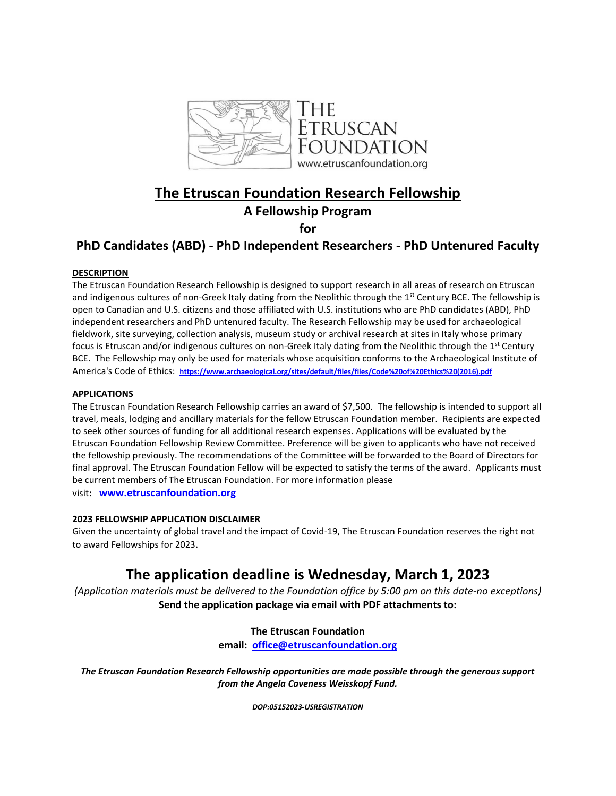

# **The Etruscan Foundation Research Fellowship**

## **A Fellowship Program**

**for** 

## **PhD Candidates (ABD) - PhD Independent Researchers - PhD Untenured Faculty**

#### **DESCRIPTION**

The Etruscan Foundation Research Fellowship is designed to support research in all areas of research on Etruscan and indigenous cultures of non-Greek Italy dating from the Neolithic through the 1<sup>st</sup> Century BCE. The fellowship is open to Canadian and U.S. citizens and those affiliated with U.S. institutions who are PhD candidates (ABD), PhD independent researchers and PhD untenured faculty. The Research Fellowship may be used for archaeological fieldwork, site surveying, collection analysis, museum study or archival research at sites in Italy whose primary focus is Etruscan and/or indigenous cultures on non-Greek Italy dating from the Neolithic through the 1<sup>st</sup> Century BCE. The Fellowship may only be used for materials whose acquisition conforms to the Archaeological Institute of America's Code of Ethics: **[https://www.archaeological.org/sites/default/files/files/Code%20of%20Ethics%20\(2016\).pdf](https://www.archaeological.org/sites/default/files/files/Code%20of%20Ethics%20(2016).pdf)**

#### **APPLICATIONS**

The Etruscan Foundation Research Fellowship carries an award of \$7,500. The fellowship is intended to support all travel, meals, lodging and ancillary materials for the fellow Etruscan Foundation member. Recipients are expected to seek other sources of funding for all additional research expenses. Applications will be evaluated by the Etruscan Foundation Fellowship Review Committee. Preference will be given to applicants who have not received the fellowship previously. The recommendations of the Committee will be forwarded to the Board of Directors for final approval. The Etruscan Foundation Fellow will be expected to satisfy the terms of the award. Applicants must be current members of The Etruscan Foundation. For more information please

visit**: [www.etruscanfoundation.org](https://urldefense.proofpoint.com/v2/url?u=http-3A__www.etruscanfoundation.org&d=DwMGaQ&c=slrrB7dE8n7gBJbeO0g-IQ&r=Or7gZ6tNglm_ZtNiivrz0w&m=6nCJts2RKKLut8dHfeTrOdKUsAUDNtRFRurMgTyoIrC7cx6rrZfLw2NhiFPH7Rvt&s=pnBDkQg0Jbv53xlCS4_QY9soKXYPf2_cPDU15yRIXjI&e=)**

### **2023 FELLOWSHIP APPLICATION DISCLAIMER**

Given the uncertainty of global travel and the impact of Covid-19, The Etruscan Foundation reserves the right not to award Fellowships for 2023.

# **The application deadline is Wednesday, March 1, 2023**

*(Application materials must be delivered to the Foundation office by 5:00 pm on this date-no exceptions)* **Send the application package via email with PDF attachments to:**

### **The Etruscan Foundation**

**email: [office@etruscanfoundation.org](mailto:office@etruscanfoundation.org)**

*The Etruscan Foundation Research Fellowship opportunities are made possible through the generous support from the Angela Caveness Weisskopf Fund.*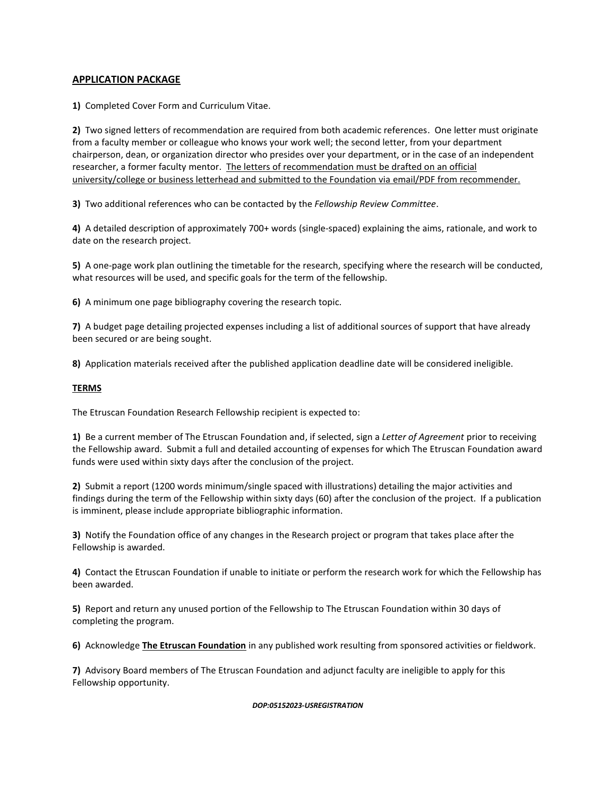#### **APPLICATION PACKAGE**

**1)** Completed Cover Form and Curriculum Vitae.

**2)** Two signed letters of recommendation are required from both academic references. One letter must originate from a faculty member or colleague who knows your work well; the second letter, from your department chairperson, dean, or organization director who presides over your department, or in the case of an independent researcher, a former faculty mentor. The letters of recommendation must be drafted on an official university/college or business letterhead and submitted to the Foundation via email/PDF from recommender.

**3)** Two additional references who can be contacted by the *Fellowship Review Committee*.

**4)** A detailed description of approximately 700+ words (single-spaced) explaining the aims, rationale, and work to date on the research project.

**5)** A one-page work plan outlining the timetable for the research, specifying where the research will be conducted, what resources will be used, and specific goals for the term of the fellowship.

**6)** A minimum one page bibliography covering the research topic.

**7)** A budget page detailing projected expenses including a list of additional sources of support that have already been secured or are being sought.

**8)** Application materials received after the published application deadline date will be considered ineligible.

#### **TERMS**

The Etruscan Foundation Research Fellowship recipient is expected to:

**1)** Be a current member of The Etruscan Foundation and, if selected, sign a *Letter of Agreement* prior to receiving the Fellowship award. Submit a full and detailed accounting of expenses for which The Etruscan Foundation award funds were used within sixty days after the conclusion of the project.

**2)** Submit a report (1200 words minimum/single spaced with illustrations) detailing the major activities and findings during the term of the Fellowship within sixty days (60) after the conclusion of the project. If a publication is imminent, please include appropriate bibliographic information.

**3)** Notify the Foundation office of any changes in the Research project or program that takes place after the Fellowship is awarded.

**4)** Contact the Etruscan Foundation if unable to initiate or perform the research work for which the Fellowship has been awarded.

**5)** Report and return any unused portion of the Fellowship to The Etruscan Foundation within 30 days of completing the program.

**6)** Acknowledge **The Etruscan Foundation** in any published work resulting from sponsored activities or fieldwork.

**7)** Advisory Board members of The Etruscan Foundation and adjunct faculty are ineligible to apply for this Fellowship opportunity.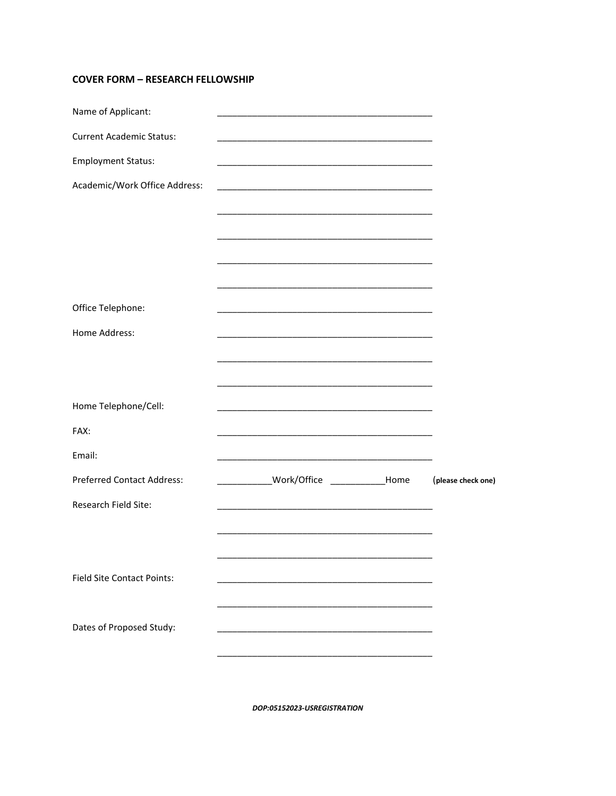### **COVER FORM - RESEARCH FELLOWSHIP**

| Name of Applicant:                |                                                                                                                       |                    |
|-----------------------------------|-----------------------------------------------------------------------------------------------------------------------|--------------------|
| <b>Current Academic Status:</b>   |                                                                                                                       |                    |
| <b>Employment Status:</b>         |                                                                                                                       |                    |
| Academic/Work Office Address:     | <u> 1990 - Johann Barbara, martin amerikan basar dan berasal dalam basa dalam basar dalam basar dalam basar dalam</u> |                    |
|                                   |                                                                                                                       |                    |
|                                   |                                                                                                                       |                    |
|                                   |                                                                                                                       |                    |
|                                   |                                                                                                                       |                    |
| Office Telephone:                 |                                                                                                                       |                    |
| Home Address:                     |                                                                                                                       |                    |
|                                   |                                                                                                                       |                    |
|                                   |                                                                                                                       |                    |
| Home Telephone/Cell:              | <u> 1989 - Johann Stoff, Amerikaansk politiker (* 1908)</u>                                                           |                    |
| FAX:                              |                                                                                                                       |                    |
| Email:                            |                                                                                                                       |                    |
| <b>Preferred Contact Address:</b> | ______________Work/Office ______________Home                                                                          | (please check one) |
| Research Field Site:              |                                                                                                                       |                    |
|                                   |                                                                                                                       |                    |
|                                   |                                                                                                                       |                    |
| <b>Field Site Contact Points:</b> |                                                                                                                       |                    |
|                                   |                                                                                                                       |                    |
| Dates of Proposed Study:          |                                                                                                                       |                    |
|                                   |                                                                                                                       |                    |
|                                   |                                                                                                                       |                    |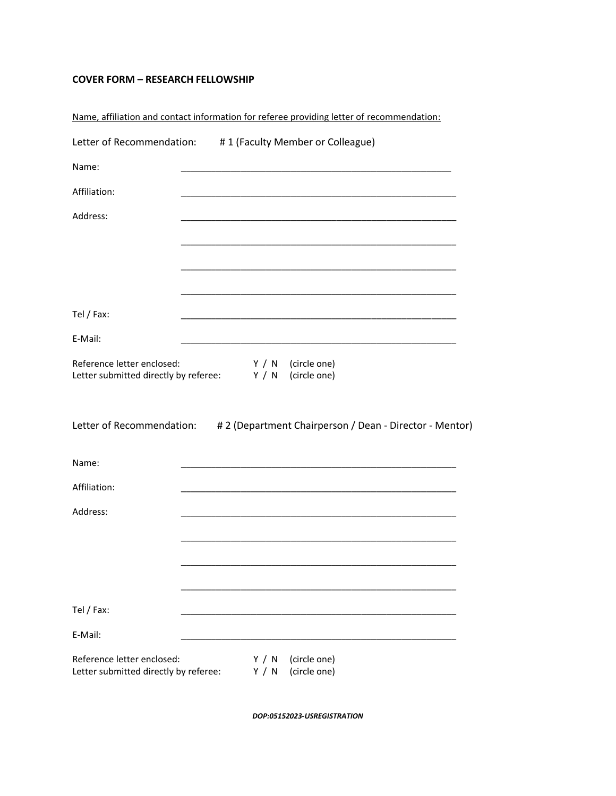### **COVER FORM – RESEARCH FELLOWSHIP**

|                                                                     | Name, affiliation and contact information for referee providing letter of recommendation: |
|---------------------------------------------------------------------|-------------------------------------------------------------------------------------------|
| Letter of Recommendation:                                           | #1 (Faculty Member or Colleague)                                                          |
| Name:                                                               |                                                                                           |
| Affiliation:                                                        |                                                                                           |
| Address:                                                            |                                                                                           |
|                                                                     |                                                                                           |
|                                                                     |                                                                                           |
|                                                                     |                                                                                           |
| Tel / Fax:                                                          |                                                                                           |
| E-Mail:                                                             |                                                                                           |
| Reference letter enclosed:<br>Letter submitted directly by referee: | Y / N<br>(circle one)<br>Y / N<br>(circle one)                                            |
|                                                                     | Letter of Recommendation: # 2 (Department Chairperson / Dean - Director - Mentor)         |
| Name:                                                               |                                                                                           |
| Affiliation:                                                        |                                                                                           |
| Address:                                                            |                                                                                           |
|                                                                     |                                                                                           |
|                                                                     |                                                                                           |
|                                                                     |                                                                                           |
| Tel / Fax:                                                          |                                                                                           |
| E-Mail:                                                             |                                                                                           |
| Reference letter enclosed:<br>Letter submitted directly by referee: | (circle one)<br>Y / N<br>(circle one)<br>Y / N                                            |